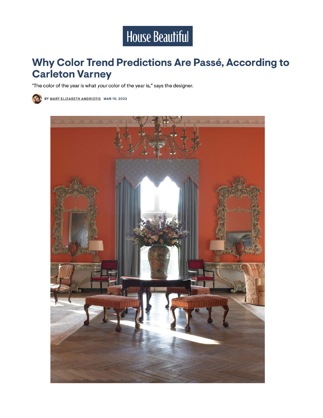

## Why Color Trend Predictions Are Passé, According to **Carleton Varney**

"The color of the year is what your color of the year is," says the designer.



BY MARY ELIZABETH ANDRIOTIS MAR 10, 2022

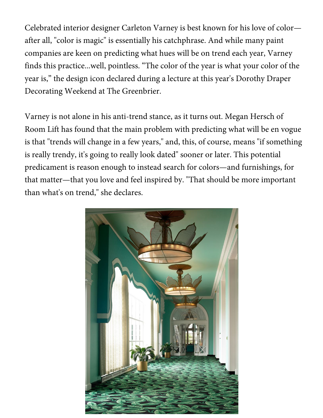Celebrated interior designer Carleton Varney is best known for his love of color after all, "color is magic" is essentially his catchphrase. And while many paint companies are keen on predicting what hues will be on trend each year, Varney finds this practice...well, pointless. "The color of the year is what your color of the year is," the design icon declared during a lecture at this year's Dorothy Draper Decorating Weekend at The Greenbrier.

Varney is not alone in his anti-trend stance, as it turns out. Megan Hersch of Room Lift has found that the main problem with predicting what will be en vogue is that "trends will change in a few years," and, this, of course, means "if something is really trendy, it's going to really look dated" sooner or later. This potential predicament is reason enough to instead search for colors—and furnishings, for that matter—that you love and feel inspired by. "That should be more important than what's on trend," she declares.

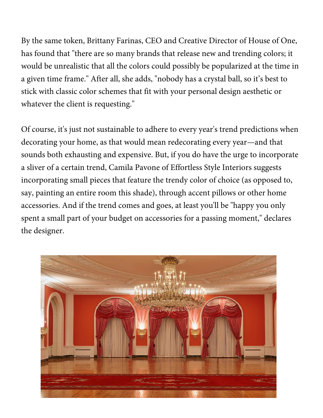By the same token, Brittany Farinas, CEO and Creative Director of House of One, has found that "there are so many brands that release new and trending colors; it would be unrealistic that all the colors could possibly be popularized at the time in a given time frame." After all, she adds, "nobody has a crystal ball, so it's best to stick with classic color schemes that fit with your personal design aesthetic or whatever the client is requesting."

Of course, it's just not sustainable to adhere to every year's trend predictions when decorating your home, as that would mean redecorating every year—and that sounds both exhausting and expensive. But, if you do have the urge to incorporate a sliver of a certain trend, Camila Pavone of Effortless Style Interiors suggests incorporating small pieces that feature the trendy color of choice (as opposed to, say, painting an entire room this shade), through accent pillows or other home accessories. And if the trend comes and goes, at least you'll be "happy you only spent a small part of your budget on accessories for a passing moment," declares the designer.